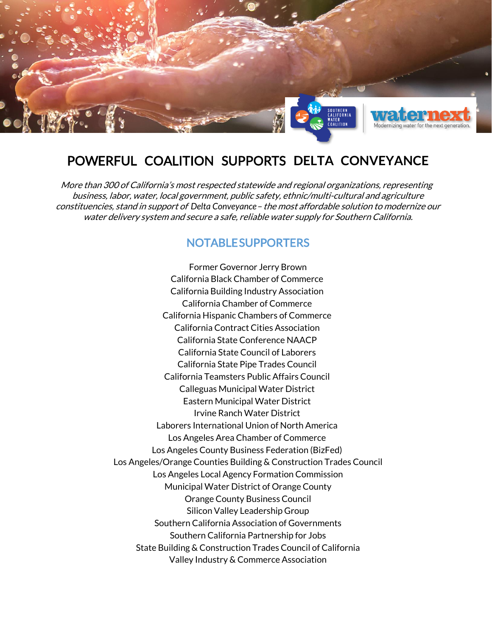

# POWERFUL COALITION SUPPORTS **DELTA CONVEYANCE**

More than 300 of California's most respected statewide and regional organizations, representing business, labor, water, local government, public safety, ethnic/multi-cultural and agriculture constituencies, stand in support of *Delta Conveyance*– the most affordable solution to modernize our water delivery system and secure a safe, reliable water supply for Southern California.

# NOTABLE SUPPORTERS

Former Governor Jerry Brown California Black Chamber of Commerce California Building Industry Association California Chamber of Commerce California Hispanic Chambers of Commerce California Contract Cities Association California State Conference NAACP California State Council of Laborers California State Pipe Trades Council California Teamsters Public Affairs Council Calleguas Municipal Water District Eastern Municipal Water District Irvine Ranch Water District Laborers International Union of North America Los Angeles Area Chamber of Commerce Los Angeles County Business Federation (BizFed) Los Angeles/Orange Counties Building & Construction Trades Council Los Angeles Local Agency Formation Commission Municipal Water District of Orange County Orange County Business Council Silicon Valley Leadership Group Southern California Association of Governments Southern California Partnership for Jobs State Building & Construction Trades Council of California Valley Industry & Commerce Association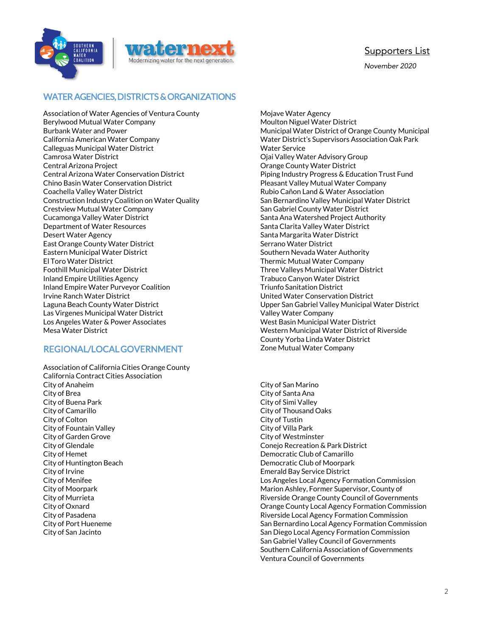



November 2020

### WATER AGENCIES, DISTRICTS & ORGANIZATIONS

Association of Water Agencies of Ventura County Berylwood Mutual Water Company Burbank Water and Power California American Water Company Calleguas Municipal Water District Camrosa Water District Central Arizona Project Central Arizona Water Conservation District Chino Basin Water Conservation District Coachella Valley Water District Construction Industry Coalition on Water Quality Crestview Mutual Water Company Cucamonga Valley Water District Department of Water Resources Desert Water Agency East Orange County Water District Eastern Municipal Water District El Toro Water District Foothill Municipal Water District Inland Empire Utilities Agency Inland Empire Water Purveyor Coalition Irvine Ranch Water District Laguna Beach County Water District Las Virgenes Municipal Water District Los Angeles Water & Power Associates Mesa Water District

# REGIONAL/LOCAL GOVERNMENT

Association of California Cities Orange County California Contract Cities Association City of Anaheim City of Brea City of Buena Park City of Camarillo City of Colton City of Fountain Valley City of Garden Grove City of Glendale City of Hemet City of Huntington Beach City of Irvine City of Menifee City of Moorpark City of Murrieta City of Oxnard City of Pasadena City of Port Hueneme City of San Jacinto

Mojave Water Agency Moulton Niguel Water District Municipal Water District of Orange County Municipal Water District's Supervisors Association Oak Park Water Service Ojai Valley Water Advisory Group Orange County Water District Piping Industry Progress & Education Trust Fund Pleasant Valley Mutual Water Company Rubio Cañon Land & Water Association San Bernardino Valley Municipal Water District San Gabriel County Water District Santa Ana Watershed Project Authority Santa Clarita Valley Water District Santa Margarita Water District Serrano Water District Southern Nevada Water Authority Thermic Mutual Water Company Three Valleys Municipal Water District Trabuco Canyon Water District Triunfo Sanitation District United Water Conservation District Upper San Gabriel Valley Municipal Water District Valley Water Company West Basin Municipal Water District Western Municipal Water District of Riverside County Yorba Linda Water District Zone Mutual Water Company

City of San Marino City of Santa Ana City of Simi Valley City of Thousand Oaks City of Tustin City of Villa Park City of Westminster Conejo Recreation & Park District Democratic Club of Camarillo Democratic Club of Moorpark Emerald Bay Service District Los Angeles Local Agency Formation Commission Marion Ashley, Former Supervisor, County of Riverside Orange County Council of Governments Orange County Local Agency Formation Commission Riverside Local Agency Formation Commission San Bernardino Local Agency Formation Commission San Diego Local Agency Formation Commission San Gabriel Valley Council of Governments Southern California Association of Governments Ventura Council of Governments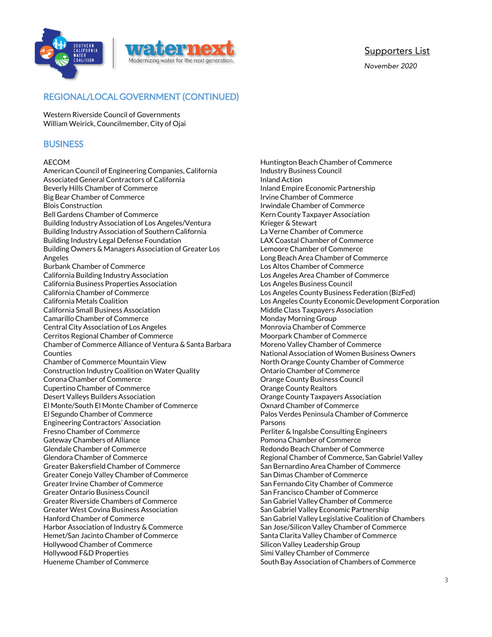



November 2020

# REGIONAL/LOCAL GOVERNMENT (CONTINUED)

Western Riverside Council of Governments William Weirick, Councilmember, City of Ojai

### **BUSINESS**

#### AECOM

American Council of Engineering Companies, California Associated General Contractors of California Beverly Hills Chamber of Commerce Big Bear Chamber of Commerce Blois Construction Bell Gardens Chamber of Commerce Building Industry Association of Los Angeles/Ventura Building Industry Association of Southern California Building Industry Legal Defense Foundation Building Owners & Managers Association of Greater Los Angeles Burbank Chamber of Commerce California Building Industry Association California Business Properties Association California Chamber of Commerce California Metals Coalition California Small Business Association Camarillo Chamber of Commerce Central City Association of Los Angeles Cerritos Regional Chamber of Commerce Chamber of Commerce Alliance of Ventura & Santa Barbara Counties Chamber of Commerce Mountain View Construction Industry Coalition on Water Quality Corona Chamber of Commerce Cupertino Chamber of Commerce Desert Valleys Builders Association El Monte/South El Monte Chamber of Commerce El Segundo Chamber of Commerce Engineering Contractors' Association Fresno Chamber of Commerce Gateway Chambers of Alliance Glendale Chamber of Commerce Glendora Chamber of Commerce Greater Bakersfield Chamber of Commerce Greater Conejo Valley Chamber of Commerce Greater Irvine Chamber of Commerce Greater Ontario Business Council Greater Riverside Chambers of Commerce Greater West Covina Business Association Hanford Chamber of Commerce Harbor Association of Industry & Commerce Hemet/San Jacinto Chamber of Commerce Hollywood Chamber of Commerce Hollywood F&D Properties Hueneme Chamber of Commerce

Huntington Beach Chamber of Commerce Industry Business Council Inland Action Inland Empire Economic Partnership Irvine Chamber of Commerce Irwindale Chamber of Commerce Kern County Taxpayer Association Krieger & Stewart La Verne Chamber of Commerce LAX Coastal Chamber of Commerce Lemoore Chamber of Commerce Long Beach Area Chamber of Commerce Los Altos Chamber of Commerce Los Angeles Area Chamber of Commerce Los Angeles Business Council Los Angeles County Business Federation (BizFed) Los Angeles County Economic Development Corporation Middle Class Taxpayers Association Monday Morning Group Monrovia Chamber of Commerce Moorpark Chamber of Commerce Moreno Valley Chamber of Commerce National Association of Women Business Owners North Orange County Chamber of Commerce Ontario Chamber of Commerce Orange County Business Council Orange County Realtors Orange County Taxpayers Association Oxnard Chamber of Commerce Palos Verdes Peninsula Chamber of Commerce Parsons Perliter & Ingalsbe Consulting Engineers Pomona Chamber of Commerce Redondo Beach Chamber of Commerce Regional Chamber of Commerce, San Gabriel Valley San Bernardino Area Chamber of Commerce San Dimas Chamber of Commerce San Fernando City Chamber of Commerce San Francisco Chamber of Commerce San Gabriel Valley Chamber of Commerce San Gabriel Valley Economic Partnership San Gabriel Valley Legislative Coalition of Chambers San Jose/Silicon Valley Chamber of Commerce Santa Clarita Valley Chamber of Commerce Silicon Valley Leadership Group Simi Valley Chamber of Commerce South Bay Association of Chambers of Commerce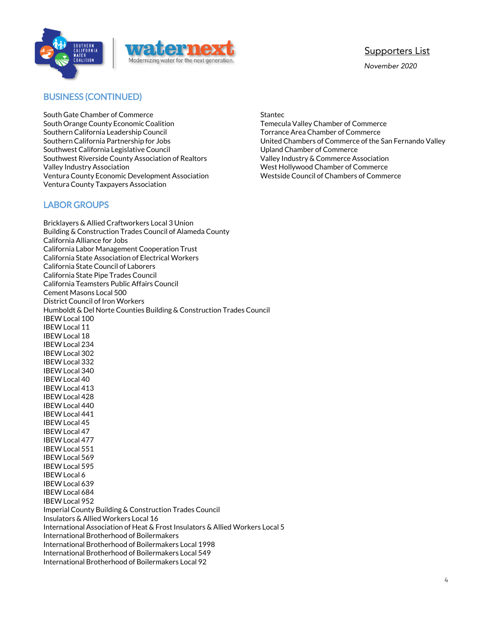



November 2020

### BUSINESS (CONTINUED)

South Gate Chamber of Commerce South Orange County Economic Coalition Southern California Leadership Council Southern California Partnership for Jobs Southwest California Legislative Council Southwest Riverside County Association of Realtors Valley Industry Association Ventura County Economic Development Association Ventura County Taxpayers Association

### LABOR GROUPS

Bricklayers & Allied Craftworkers Local 3 Union Building & Construction Trades Council of Alameda County California Alliance for Jobs California Labor Management Cooperation Trust California State Association of Electrical Workers California State Council of Laborers California State Pipe Trades Council California Teamsters Public Affairs Council Cement Masons Local 500 District Council of Iron Workers Humboldt & Del Norte Counties Building & Construction Trades Council IBEW Local 100 IBEW Local 11 IBEW Local 18 IBEW Local 234 IBEW Local 302 IBEW Local 332 IBEW Local 340 IBEW Local 40 IBEW Local 413 IBEW Local 428 IBEW Local 440 IBEW Local 441 IBEW Local 45 IBEW Local 47 IBEW Local 477 IBEW Local 551 IBEW Local 569 IBEW Local 595 IBEW Local 6 IBEW Local 639 IBEW Local 684 IBEW Local 952 Imperial County Building & Construction Trades Council Insulators & Allied Workers Local 16 International Association of Heat & Frost Insulators & Allied Workers Local 5 International Brotherhood of Boilermakers International Brotherhood of Boilermakers Local 1998 International Brotherhood of Boilermakers Local 549 International Brotherhood of Boilermakers Local 92

Stantec Temecula Valley Chamber of Commerce Torrance Area Chamber of Commerce United Chambers of Commerce of the San Fernando Valley Upland Chamber of Commerce Valley Industry & Commerce Association West Hollywood Chamber of Commerce Westside Council of Chambers of Commerce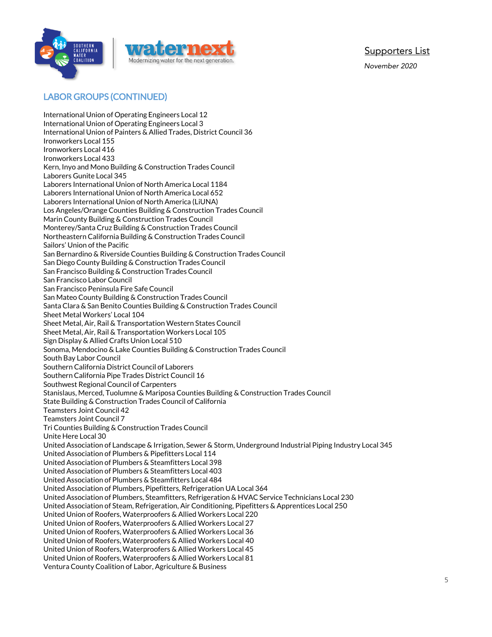

November 2020

# LABOR GROUPS (CONTINUED)

International Union of Operating Engineers Local 12 International Union of Operating Engineers Local 3 International Union of Painters & Allied Trades, District Council 36 Ironworkers Local 155 Ironworkers Local 416 Ironworkers Local 433 Kern, Inyo and Mono Building & Construction Trades Council Laborers Gunite Local 345 Laborers International Union of North America Local 1184 Laborers International Union of North America Local 652 Laborers International Union of North America (LiUNA) Los Angeles/Orange Counties Building & Construction Trades Council Marin County Building & Construction Trades Council Monterey/Santa Cruz Building & Construction Trades Council Northeastern California Building & Construction Trades Council Sailors' Union of the Pacific San Bernardino & Riverside Counties Building & Construction Trades Council San Diego County Building & Construction Trades Council San Francisco Building & Construction Trades Council San Francisco Labor Council San Francisco Peninsula Fire Safe Council San Mateo County Building & Construction Trades Council Santa Clara & San Benito Counties Building & Construction Trades Council Sheet Metal Workers' Local 104 Sheet Metal, Air, Rail & Transportation Western States Council Sheet Metal, Air, Rail & Transportation Workers Local 105 Sign Display & Allied Crafts Union Local 510 Sonoma, Mendocino & Lake Counties Building & Construction Trades Council South Bay Labor Council Southern California District Council of Laborers Southern California Pipe Trades District Council 16 Southwest Regional Council of Carpenters Stanislaus, Merced, Tuolumne & Mariposa Counties Building & Construction Trades Council State Building & Construction Trades Council of California Teamsters Joint Council 42 Teamsters Joint Council 7 Tri Counties Building & Construction Trades Council Unite Here Local 30 United Association of Landscape & Irrigation, Sewer & Storm, Underground Industrial Piping Industry Local 345 United Association of Plumbers & Pipefitters Local 114 United Association of Plumbers & Steamfitters Local 398 United Association of Plumbers & Steamfitters Local 403 United Association of Plumbers & Steamfitters Local 484 United Association of Plumbers, Pipefitters, Refrigeration UA Local 364 United Association of Plumbers, Steamfitters, Refrigeration & HVAC Service Technicians Local 230 United Association of Steam, Refrigeration, Air Conditioning, Pipefitters & Apprentices Local 250 United Union of Roofers, Waterproofers & Allied Workers Local 220 United Union of Roofers, Waterproofers & Allied Workers Local 27 United Union of Roofers, Waterproofers & Allied Workers Local 36 United Union of Roofers, Waterproofers & Allied Workers Local 40 United Union of Roofers, Waterproofers & Allied Workers Local 45 United Union of Roofers, Waterproofers & Allied Workers Local 81 Ventura County Coalition of Labor, Agriculture & Business